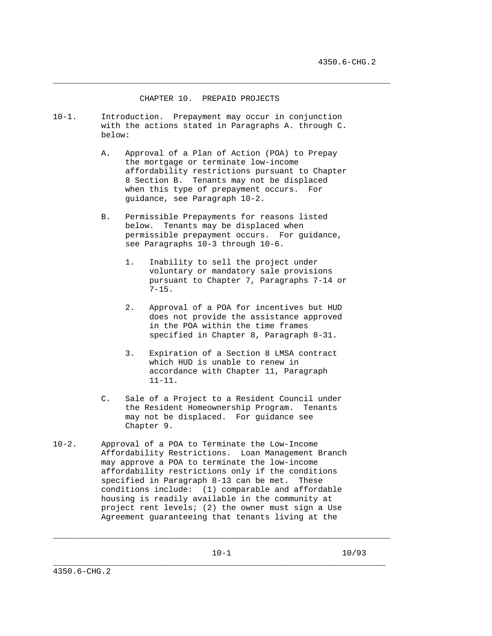## CHAPTER 10. PREPAID PROJECTS

\_\_\_\_\_\_\_\_\_\_\_\_\_\_\_\_\_\_\_\_\_\_\_\_\_\_\_\_\_\_\_\_\_\_\_\_\_\_\_\_\_\_\_\_\_\_\_\_\_\_\_\_\_\_\_\_\_\_\_\_\_\_\_\_\_\_\_\_\_\_

- 10-1. Introduction. Prepayment may occur in conjunction with the actions stated in Paragraphs A. through C. below:
	- A. Approval of a Plan of Action (POA) to Prepay the mortgage or terminate low-income affordability restrictions pursuant to Chapter 8 Section B. Tenants may not be displaced when this type of prepayment occurs. For guidance, see Paragraph 10-2.
	- B. Permissible Prepayments for reasons listed below. Tenants may be displaced when permissible prepayment occurs. For guidance, see Paragraphs 10-3 through 10-6.
		- 1. Inability to sell the project under voluntary or mandatory sale provisions pursuant to Chapter 7, Paragraphs 7-14 or 7-15.
		- 2. Approval of a POA for incentives but HUD does not provide the assistance approved in the POA within the time frames specified in Chapter 8, Paragraph 8-31.
		- 3. Expiration of a Section 8 LMSA contract which HUD is unable to renew in accordance with Chapter 11, Paragraph 11-11.
	- C. Sale of a Project to a Resident Council under the Resident Homeownership Program. Tenants may not be displaced. For guidance see Chapter 9.
- 10-2. Approval of a POA to Terminate the Low-Income Affordability Restrictions. Loan Management Branch may approve a POA to terminate the low-income affordability restrictions only if the conditions specified in Paragraph 8-13 can be met. These conditions include: (1) comparable and affordable housing is readily available in the community at project rent levels; (2) the owner must sign a Use Agreement guaranteeing that tenants living at the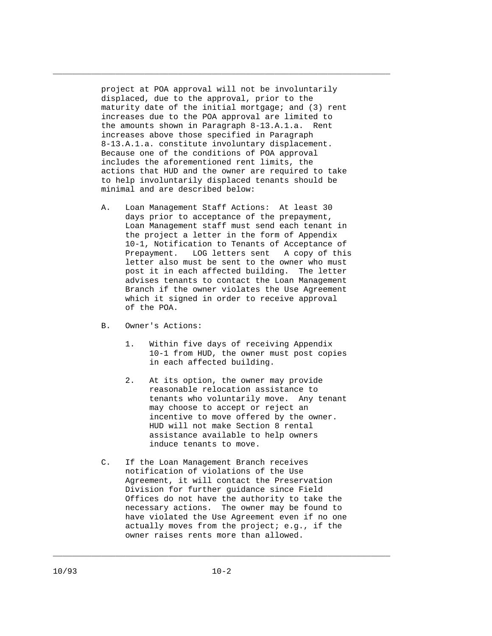project at POA approval will not be involuntarily displaced, due to the approval, prior to the maturity date of the initial mortgage; and (3) rent increases due to the POA approval are limited to the amounts shown in Paragraph 8-13.A.1.a. Rent increases above those specified in Paragraph 8-13.A.1.a. constitute involuntary displacement. Because one of the conditions of POA approval includes the aforementioned rent limits, the actions that HUD and the owner are required to take to help involuntarily displaced tenants should be minimal and are described below:

\_\_\_\_\_\_\_\_\_\_\_\_\_\_\_\_\_\_\_\_\_\_\_\_\_\_\_\_\_\_\_\_\_\_\_\_\_\_\_\_\_\_\_\_\_\_\_\_\_\_\_\_\_\_\_\_\_\_\_\_\_\_\_\_\_\_\_\_\_\_

- A. Loan Management Staff Actions: At least 30 days prior to acceptance of the prepayment, Loan Management staff must send each tenant in the project a letter in the form of Appendix 10-1, Notification to Tenants of Acceptance of Prepayment. LOG letters sent A copy of this letter also must be sent to the owner who must post it in each affected building. The letter advises tenants to contact the Loan Management Branch if the owner violates the Use Agreement which it signed in order to receive approval of the POA.
- B. Owner's Actions:
	- 1. Within five days of receiving Appendix 10-1 from HUD, the owner must post copies in each affected building.
	- 2. At its option, the owner may provide reasonable relocation assistance to tenants who voluntarily move. Any tenant may choose to accept or reject an incentive to move offered by the owner. HUD will not make Section 8 rental assistance available to help owners induce tenants to move.
- C. If the Loan Management Branch receives notification of violations of the Use Agreement, it will contact the Preservation Division for further guidance since Field Offices do not have the authority to take the necessary actions. The owner may be found to have violated the Use Agreement even if no one actually moves from the project; e.g., if the owner raises rents more than allowed.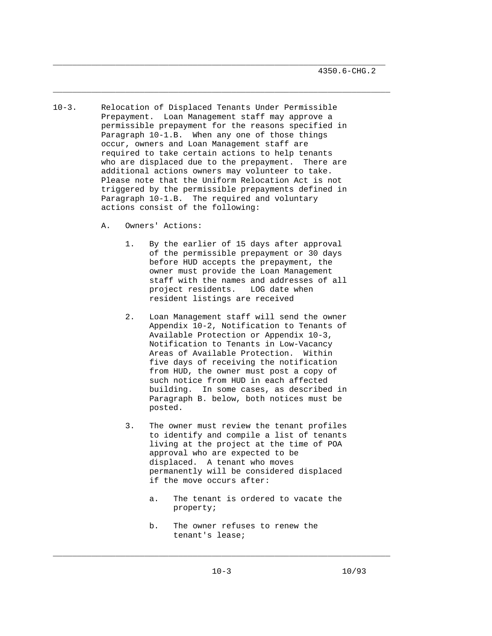10-3. Relocation of Displaced Tenants Under Permissible Prepayment. Loan Management staff may approve a permissible prepayment for the reasons specified in Paragraph 10-1.B. When any one of those things occur, owners and Loan Management staff are required to take certain actions to help tenants who are displaced due to the prepayment. There are additional actions owners may volunteer to take. Please note that the Uniform Relocation Act is not triggered by the permissible prepayments defined in Paragraph 10-1.B. The required and voluntary actions consist of the following:

\_\_\_\_\_\_\_\_\_\_\_\_\_\_\_\_\_\_\_\_\_\_\_\_\_\_\_\_\_\_\_\_\_\_\_\_\_\_\_\_\_\_\_\_\_\_\_\_\_\_\_\_\_\_\_\_\_\_\_\_\_\_\_\_\_\_\_\_\_

\_\_\_\_\_\_\_\_\_\_\_\_\_\_\_\_\_\_\_\_\_\_\_\_\_\_\_\_\_\_\_\_\_\_\_\_\_\_\_\_\_\_\_\_\_\_\_\_\_\_\_\_\_\_\_\_\_\_\_\_\_\_\_\_\_\_\_\_\_\_

- A. Owners' Actions:
	- 1. By the earlier of 15 days after approval of the permissible prepayment or 30 days before HUD accepts the prepayment, the owner must provide the Loan Management staff with the names and addresses of all project residents. LOG date when resident listings are received
	- 2. Loan Management staff will send the owner Appendix 10-2, Notification to Tenants of Available Protection or Appendix 10-3, Notification to Tenants in Low-Vacancy Areas of Available Protection. Within five days of receiving the notification from HUD, the owner must post a copy of such notice from HUD in each affected building. In some cases, as described in Paragraph B. below, both notices must be posted.
	- 3. The owner must review the tenant profiles to identify and compile a list of tenants living at the project at the time of POA approval who are expected to be displaced. A tenant who moves permanently will be considered displaced if the move occurs after:
		- a. The tenant is ordered to vacate the property;
		- b. The owner refuses to renew the tenant's lease;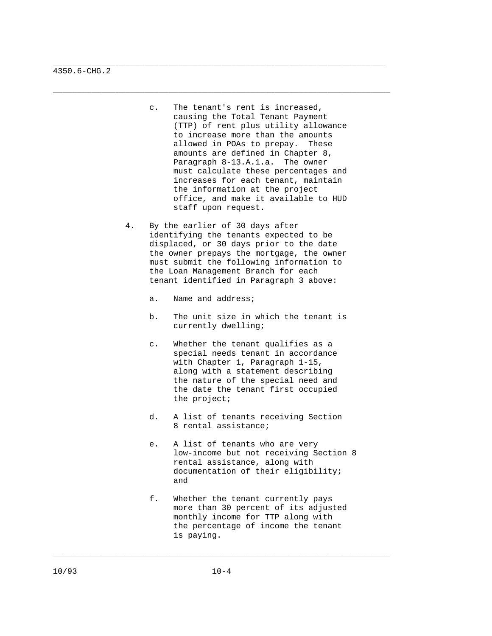c. The tenant's rent is increased, causing the Total Tenant Payment (TTP) of rent plus utility allowance to increase more than the amounts allowed in POAs to prepay. These amounts are defined in Chapter 8, Paragraph 8-13.A.1.a. The owner must calculate these percentages and increases for each tenant, maintain the information at the project office, and make it available to HUD staff upon request.

\_\_\_\_\_\_\_\_\_\_\_\_\_\_\_\_\_\_\_\_\_\_\_\_\_\_\_\_\_\_\_\_\_\_\_\_\_\_\_\_\_\_\_\_\_\_\_\_\_\_\_\_\_\_\_\_\_\_\_\_\_\_\_\_\_\_\_\_\_

\_\_\_\_\_\_\_\_\_\_\_\_\_\_\_\_\_\_\_\_\_\_\_\_\_\_\_\_\_\_\_\_\_\_\_\_\_\_\_\_\_\_\_\_\_\_\_\_\_\_\_\_\_\_\_\_\_\_\_\_\_\_\_\_\_\_\_\_\_\_

- 4. By the earlier of 30 days after identifying the tenants expected to be displaced, or 30 days prior to the date the owner prepays the mortgage, the owner must submit the following information to the Loan Management Branch for each tenant identified in Paragraph 3 above:
	- a. Name and address;
	- b. The unit size in which the tenant is currently dwelling;
	- c. Whether the tenant qualifies as a special needs tenant in accordance with Chapter 1, Paragraph 1-15, along with a statement describing the nature of the special need and the date the tenant first occupied the project;
	- d. A list of tenants receiving Section 8 rental assistance;
- e. A list of tenants who are very low-income but not receiving Section 8 rental assistance, along with documentation of their eligibility; and and state of the state of the state of the state of the state of the state of the state of the state of the
	- f. Whether the tenant currently pays more than 30 percent of its adjusted monthly income for TTP along with the percentage of income the tenant is paying.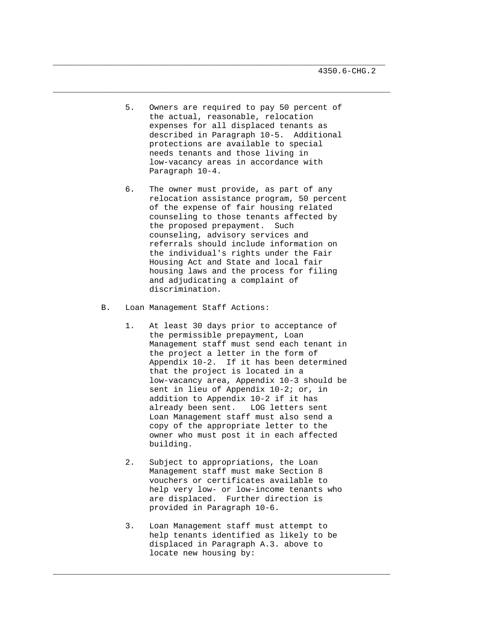5. Owners are required to pay 50 percent of the actual, reasonable, relocation expenses for all displaced tenants as described in Paragraph 10-5. Additional protections are available to special needs tenants and those living in low-vacancy areas in accordance with Paragraph 10-4.

\_\_\_\_\_\_\_\_\_\_\_\_\_\_\_\_\_\_\_\_\_\_\_\_\_\_\_\_\_\_\_\_\_\_\_\_\_\_\_\_\_\_\_\_\_\_\_\_\_\_\_\_\_\_\_\_\_\_\_\_\_\_\_\_\_\_\_\_\_

\_\_\_\_\_\_\_\_\_\_\_\_\_\_\_\_\_\_\_\_\_\_\_\_\_\_\_\_\_\_\_\_\_\_\_\_\_\_\_\_\_\_\_\_\_\_\_\_\_\_\_\_\_\_\_\_\_\_\_\_\_\_\_\_\_\_\_\_\_\_

- 6. The owner must provide, as part of any relocation assistance program, 50 percent of the expense of fair housing related counseling to those tenants affected by the proposed prepayment. Such counseling, advisory services and referrals should include information on the individual's rights under the Fair Housing Act and State and local fair housing laws and the process for filing and adjudicating a complaint of discrimination.
- B. Loan Management Staff Actions:
	- 1. At least 30 days prior to acceptance of the permissible prepayment, Loan Management staff must send each tenant in the project a letter in the form of Appendix 10-2. If it has been determined that the project is located in a low-vacancy area, Appendix 10-3 should be sent in lieu of Appendix 10-2; or, in addition to Appendix 10-2 if it has already been sent. LOG letters sent Loan Management staff must also send a copy of the appropriate letter to the owner who must post it in each affected building.
	- 2. Subject to appropriations, the Loan Management staff must make Section 8 vouchers or certificates available to help very low- or low-income tenants who are displaced. Further direction is provided in Paragraph 10-6.
	- 3. Loan Management staff must attempt to help tenants identified as likely to be displaced in Paragraph A.3. above to locate new housing by: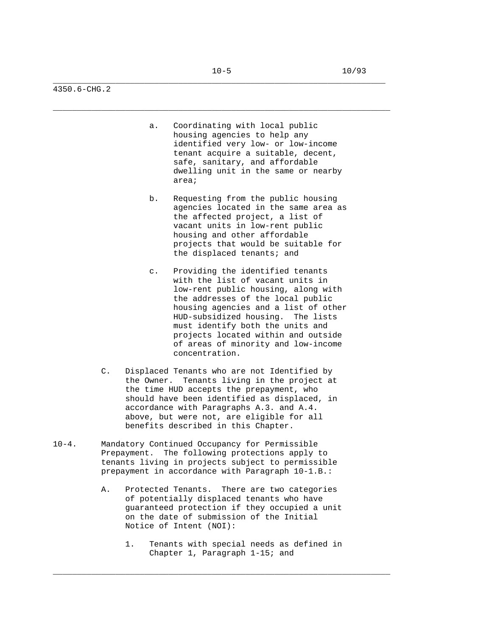\_\_\_\_\_\_\_\_\_\_\_\_\_\_\_\_\_\_\_\_\_\_\_\_\_\_\_\_\_\_\_\_\_\_\_\_\_\_\_\_\_\_\_\_\_\_\_\_\_\_\_\_\_\_\_\_\_\_\_\_\_\_\_\_\_\_\_\_\_\_

4350.6-CHG.2

- a. Coordinating with local public housing agencies to help any identified very low- or low-income tenant acquire a suitable, decent, safe, sanitary, and affordable dwelling unit in the same or nearby area;
- b. Requesting from the public housing agencies located in the same area as the affected project, a list of vacant units in low-rent public housing and other affordable projects that would be suitable for the displaced tenants; and
- c. Providing the identified tenants with the list of vacant units in low-rent public housing, along with the addresses of the local public housing agencies and a list of other HUD-subsidized housing. The lists must identify both the units and projects located within and outside of areas of minority and low-income concentration.
- C. Displaced Tenants who are not Identified by the Owner. Tenants living in the project at the time HUD accepts the prepayment, who should have been identified as displaced, in accordance with Paragraphs A.3. and A.4. above, but were not, are eligible for all benefits described in this Chapter.
- 10-4. Mandatory Continued Occupancy for Permissible Prepayment. The following protections apply to tenants living in projects subject to permissible prepayment in accordance with Paragraph 10-1.B.:
	- A. Protected Tenants. There are two categories of potentially displaced tenants who have guaranteed protection if they occupied a unit on the date of submission of the Initial Notice of Intent (NOI):
		- 1. Tenants with special needs as defined in Chapter 1, Paragraph 1-15; and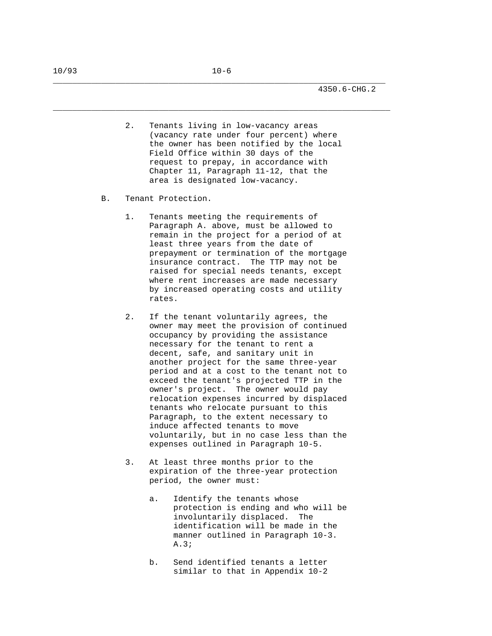2. Tenants living in low-vacancy areas (vacancy rate under four percent) where the owner has been notified by the local Field Office within 30 days of the request to prepay, in accordance with Chapter 11, Paragraph 11-12, that the area is designated low-vacancy.

\_\_\_\_\_\_\_\_\_\_\_\_\_\_\_\_\_\_\_\_\_\_\_\_\_\_\_\_\_\_\_\_\_\_\_\_\_\_\_\_\_\_\_\_\_\_\_\_\_\_\_\_\_\_\_\_\_\_\_\_\_\_\_\_\_\_\_\_\_

- B. Tenant Protection.
	- 1. Tenants meeting the requirements of Paragraph A. above, must be allowed to remain in the project for a period of at least three years from the date of prepayment or termination of the mortgage insurance contract. The TTP may not be raised for special needs tenants, except where rent increases are made necessary by increased operating costs and utility rates.
	- 2. If the tenant voluntarily agrees, the owner may meet the provision of continued occupancy by providing the assistance necessary for the tenant to rent a decent, safe, and sanitary unit in another project for the same three-year period and at a cost to the tenant not to exceed the tenant's projected TTP in the owner's project. The owner would pay relocation expenses incurred by displaced tenants who relocate pursuant to this Paragraph, to the extent necessary to induce affected tenants to move voluntarily, but in no case less than the expenses outlined in Paragraph 10-5.
	- 3. At least three months prior to the expiration of the three-year protection period, the owner must:
		- a. Identify the tenants whose protection is ending and who will be involuntarily displaced. The identification will be made in the manner outlined in Paragraph 10-3. A.3;
		- b. Send identified tenants a letter similar to that in Appendix 10-2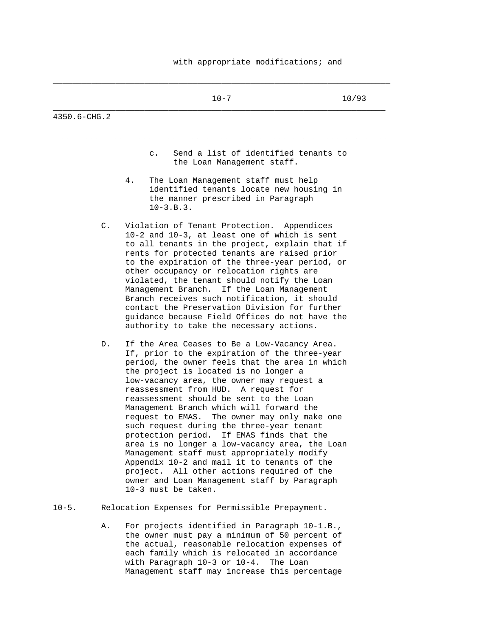## with appropriate modifications; and

\_\_\_\_\_\_\_\_\_\_\_\_\_\_\_\_\_\_\_\_\_\_\_\_\_\_\_\_\_\_\_\_\_\_\_\_\_\_\_\_\_\_\_\_\_\_\_\_\_\_\_\_\_\_\_\_\_\_\_\_\_\_\_\_\_\_\_\_\_\_

|                  | $10 - 7$                                                                                                                                                                                                                                                                                                                                                                                                                                                                                                                                                                                                                                                                                                                                                                           | 10/93 |
|------------------|------------------------------------------------------------------------------------------------------------------------------------------------------------------------------------------------------------------------------------------------------------------------------------------------------------------------------------------------------------------------------------------------------------------------------------------------------------------------------------------------------------------------------------------------------------------------------------------------------------------------------------------------------------------------------------------------------------------------------------------------------------------------------------|-------|
| $4350.6 - CHG.2$ |                                                                                                                                                                                                                                                                                                                                                                                                                                                                                                                                                                                                                                                                                                                                                                                    |       |
|                  | Send a list of identified tenants to<br>$\mathsf{C}$ .<br>the Loan Management staff.                                                                                                                                                                                                                                                                                                                                                                                                                                                                                                                                                                                                                                                                                               |       |
|                  | 4.<br>The Loan Management staff must help<br>identified tenants locate new housing in<br>the manner prescribed in Paragraph<br>$10 - 3.B.3.$                                                                                                                                                                                                                                                                                                                                                                                                                                                                                                                                                                                                                                       |       |
| $\mathsf{C}$ .   | Violation of Tenant Protection. Appendices<br>10-2 and 10-3, at least one of which is sent<br>to all tenants in the project, explain that if<br>rents for protected tenants are raised prior<br>to the expiration of the three-year period, or<br>other occupancy or relocation rights are<br>violated, the tenant should notify the Loan<br>Management Branch. If the Loan Management<br>Branch receives such notification, it should<br>contact the Preservation Division for further<br>guidance because Field Offices do not have the<br>authority to take the necessary actions.                                                                                                                                                                                              |       |
| D.               | If the Area Ceases to Be a Low-Vacancy Area.<br>If, prior to the expiration of the three-year<br>period, the owner feels that the area in which<br>the project is located is no longer a<br>low-vacancy area, the owner may request a<br>reassessment from HUD. A request for<br>reassessment should be sent to the Loan<br>Management Branch which will forward the<br>request to EMAS. The owner may only make one<br>such request during the three-year tenant<br>protection period. If EMAS finds that the<br>area is no longer a low-vacancy area, the Loan<br>Management staff must appropriately modify<br>Appendix 10-2 and mail it to tenants of the<br>project. All other actions required of the<br>owner and Loan Management staff by Paragraph<br>10-3 must be taken. |       |
| $10 - 5$ .       | Relocation Expenses for Permissible Prepayment.                                                                                                                                                                                                                                                                                                                                                                                                                                                                                                                                                                                                                                                                                                                                    |       |

 A. For projects identified in Paragraph 10-1.B., the owner must pay a minimum of 50 percent of the actual, reasonable relocation expenses of each family which is relocated in accordance with Paragraph 10-3 or 10-4. The Loan Management staff may increase this percentage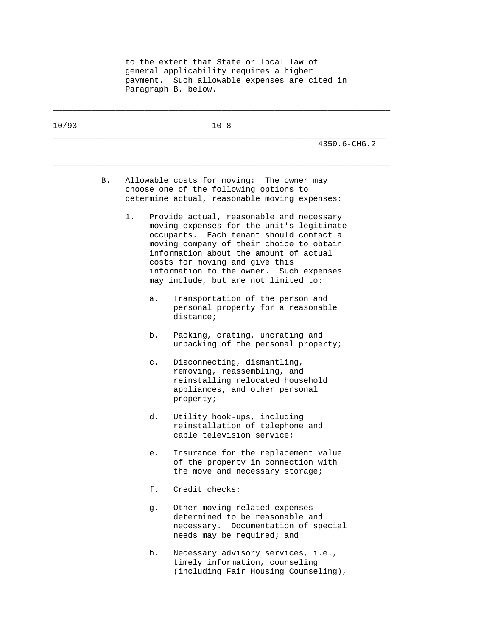to the extent that State or local law of general applicability requires a higher payment. Such allowable expenses are cited in Paragraph B. below.

| 10/93 |    | $10 - 8$ |                |                                                                                                                                                                                                                                                                                                                                                |  |  |
|-------|----|----------|----------------|------------------------------------------------------------------------------------------------------------------------------------------------------------------------------------------------------------------------------------------------------------------------------------------------------------------------------------------------|--|--|
|       |    |          |                | 4350.6-CHG.2                                                                                                                                                                                                                                                                                                                                   |  |  |
|       | В. |          |                | Allowable costs for moving: The owner may<br>choose one of the following options to<br>determine actual, reasonable moving expenses:                                                                                                                                                                                                           |  |  |
|       |    | 1.       |                | Provide actual, reasonable and necessary<br>moving expenses for the unit's legitimate<br>occupants.<br>Each tenant should contact a<br>moving company of their choice to obtain<br>information about the amount of actual<br>costs for moving and give this<br>information to the owner. Such expenses<br>may include, but are not limited to: |  |  |
|       |    |          | а.             | Transportation of the person and<br>personal property for a reasonable<br>distance;                                                                                                                                                                                                                                                            |  |  |
|       |    |          | b.             | Packing, crating, uncrating and<br>unpacking of the personal property;                                                                                                                                                                                                                                                                         |  |  |
|       |    |          | $\mathsf{c}$ . | Disconnecting, dismantling,<br>removing, reassembling, and<br>reinstalling relocated household<br>appliances, and other personal<br>property;                                                                                                                                                                                                  |  |  |
|       |    |          | d.             | Utility hook-ups, including<br>reinstallation of telephone and<br>cable television service;                                                                                                                                                                                                                                                    |  |  |
|       |    |          | е.             | Insurance for the replacement value<br>of the property in connection with<br>the move and necessary storage;                                                                                                                                                                                                                                   |  |  |
|       |    |          | f.             | Credit checks;                                                                                                                                                                                                                                                                                                                                 |  |  |
|       |    |          | g.             | Other moving-related expenses<br>determined to be reasonable and<br>necessary. Documentation of special<br>needs may be required; and                                                                                                                                                                                                          |  |  |
|       |    |          | h.             | Necessary advisory services, i.e.,<br>timely information, counseling<br>(including Fair Housing Counseling),                                                                                                                                                                                                                                   |  |  |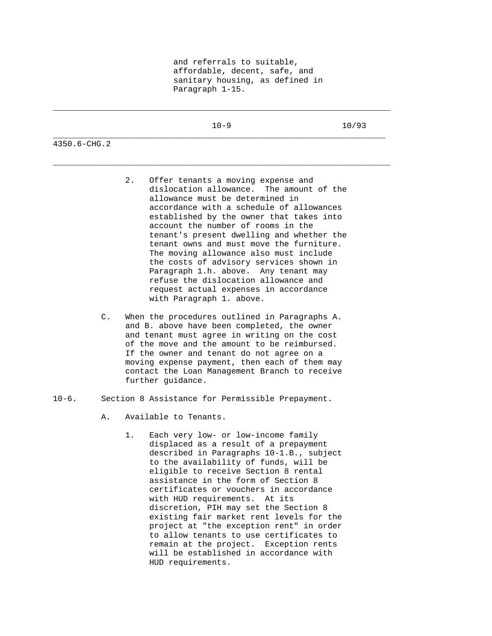|              | $10 - 9$ | 10/93 |
|--------------|----------|-------|
| 4350.6-CHG.2 |          |       |

\_\_\_\_\_\_\_\_\_\_\_\_\_\_\_\_\_\_\_\_\_\_\_\_\_\_\_\_\_\_\_\_\_\_\_\_\_\_\_\_\_\_\_\_\_\_\_\_\_\_\_\_\_\_\_\_\_\_\_\_\_\_\_\_\_\_\_\_\_\_

- 2. Offer tenants a moving expense and dislocation allowance. The amount of the allowance must be determined in accordance with a schedule of allowances established by the owner that takes into account the number of rooms in the tenant's present dwelling and whether the tenant owns and must move the furniture. The moving allowance also must include the costs of advisory services shown in Paragraph 1.h. above. Any tenant may refuse the dislocation allowance and request actual expenses in accordance with Paragraph 1. above.
- C. When the procedures outlined in Paragraphs A. and B. above have been completed, the owner and tenant must agree in writing on the cost of the move and the amount to be reimbursed. If the owner and tenant do not agree on a moving expense payment, then each of them may contact the Loan Management Branch to receive further guidance.
- 10-6. Section 8 Assistance for Permissible Prepayment.
	- A. Available to Tenants.
		- 1. Each very low- or low-income family displaced as a result of a prepayment described in Paragraphs 10-1.B., subject to the availability of funds, will be eligible to receive Section 8 rental assistance in the form of Section 8 certificates or vouchers in accordance with HUD requirements. At its discretion, PIH may set the Section 8 existing fair market rent levels for the project at "the exception rent" in order to allow tenants to use certificates to remain at the project. Exception rents will be established in accordance with HUD requirements.